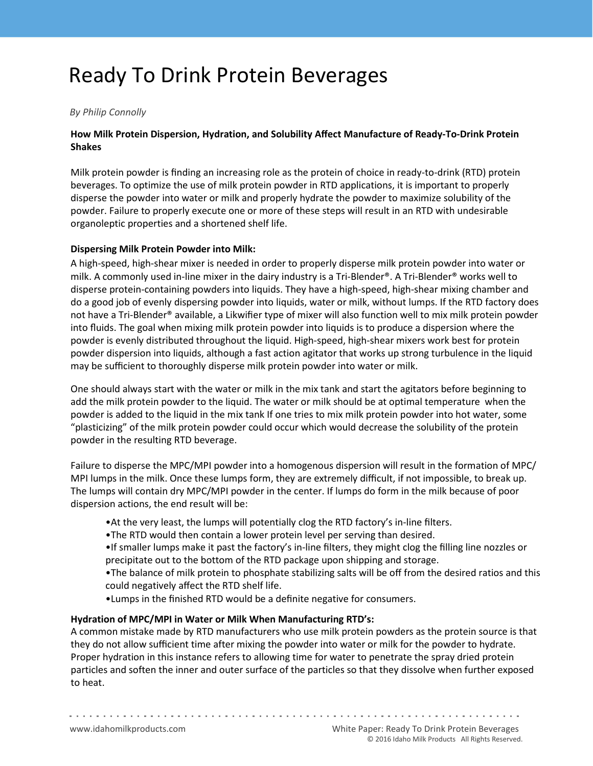# Ready To Drink Protein Beverages

### *By Philip Connolly*

## **How Milk Protein Dispersion, Hydration, and Solubility Affect Manufacture of Ready-To-Drink Protein Shakes**

Milk protein powder is finding an increasing role as the protein of choice in ready-to-drink (RTD) protein beverages. To optimize the use of milk protein powder in RTD applications, it is important to properly disperse the powder into water or milk and properly hydrate the powder to maximize solubility of the powder. Failure to properly execute one or more of these steps will result in an RTD with undesirable organoleptic properties and a shortened shelf life.

#### **Dispersing Milk Protein Powder into Milk:**

A high-speed, high-shear mixer is needed in order to properly disperse milk protein powder into water or milk. A commonly used in-line mixer in the dairy industry is a Tri-Blender®. A Tri-Blender® works well to disperse protein-containing powders into liquids. They have a high-speed, high-shear mixing chamber and do a good job of evenly dispersing powder into liquids, water or milk, without lumps. If the RTD factory does not have a Tri-Blender® available, a Likwifier type of mixer will also function well to mix milk protein powder into fluids. The goal when mixing milk protein powder into liquids is to produce a dispersion where the powder is evenly distributed throughout the liquid. High-speed, high-shear mixers work best for protein powder dispersion into liquids, although a fast action agitator that works up strong turbulence in the liquid may be sufficient to thoroughly disperse milk protein powder into water or milk.

One should always start with the water or milk in the mix tank and start the agitators before beginning to add the milk protein powder to the liquid. The water or milk should be at optimal temperature when the powder is added to the liquid in the mix tank If one tries to mix milk protein powder into hot water, some "plasticizing" of the milk protein powder could occur which would decrease the solubility of the protein powder in the resulting RTD beverage.

Failure to disperse the MPC/MPI powder into a homogenous dispersion will result in the formation of MPC/ MPI lumps in the milk. Once these lumps form, they are extremely difficult, if not impossible, to break up. The lumps will contain dry MPC/MPI powder in the center. If lumps do form in the milk because of poor dispersion actions, the end result will be:

- •At the very least, the lumps will potentially clog the RTD factory's in-line filters.
- •The RTD would then contain a lower protein level per serving than desired.
- •If smaller lumps make it past the factory's in-line filters, they might clog the filling line nozzles or precipitate out to the bottom of the RTD package upon shipping and storage.
- •The balance of milk protein to phosphate stabilizing salts will be off from the desired ratios and this could negatively affect the RTD shelf life.
- •Lumps in the finished RTD would be a definite negative for consumers.

#### **Hydration of MPC/MPI in Water or Milk When Manufacturing RTD's:**

A common mistake made by RTD manufacturers who use milk protein powders as the protein source is that they do not allow sufficient time after mixing the powder into water or milk for the powder to hydrate. Proper hydration in this instance refers to allowing time for water to penetrate the spray dried protein particles and soften the inner and outer surface of the particles so that they dissolve when further exposed to heat.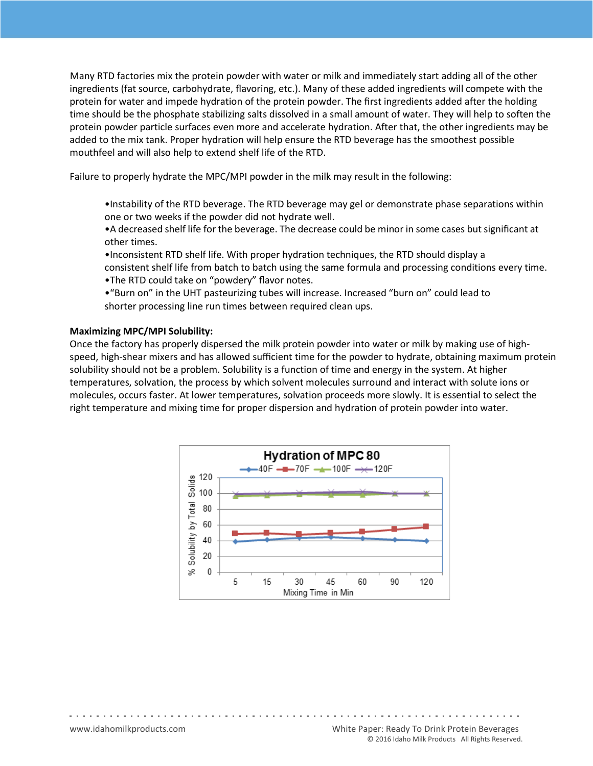Many RTD factories mix the protein powder with water or milk and immediately start adding all of the other ingredients (fat source, carbohydrate, flavoring, etc.). Many of these added ingredients will compete with the protein for water and impede hydration of the protein powder. The first ingredients added after the holding time should be the phosphate stabilizing salts dissolved in a small amount of water. They will help to soften the protein powder particle surfaces even more and accelerate hydration. After that, the other ingredients may be added to the mix tank. Proper hydration will help ensure the RTD beverage has the smoothest possible mouthfeel and will also help to extend shelf life of the RTD.

Failure to properly hydrate the MPC/MPI powder in the milk may result in the following:

•Instability of the RTD beverage. The RTD beverage may gel or demonstrate phase separations within one or two weeks if the powder did not hydrate well.

•A decreased shelf life for the beverage. The decrease could be minor in some cases but significant at other times.

•Inconsistent RTD shelf life. With proper hydration techniques, the RTD should display a consistent shelf life from batch to batch using the same formula and processing conditions every time.

•The RTD could take on "powdery" flavor notes.

•"Burn on" in the UHT pasteurizing tubes will increase. Increased "burn on" could lead to shorter processing line run times between required clean ups.

#### **Maximizing MPC/MPI Solubility:**

Once the factory has properly dispersed the milk protein powder into water or milk by making use of highspeed, high-shear mixers and has allowed sufficient time for the powder to hydrate, obtaining maximum protein solubility should not be a problem. Solubility is a function of time and energy in the system. At higher temperatures, solvation, the process by which solvent molecules surround and interact with solute ions or molecules, occurs faster. At lower temperatures, solvation proceeds more slowly. It is essential to select the right temperature and mixing time for proper dispersion and hydration of protein powder into water.